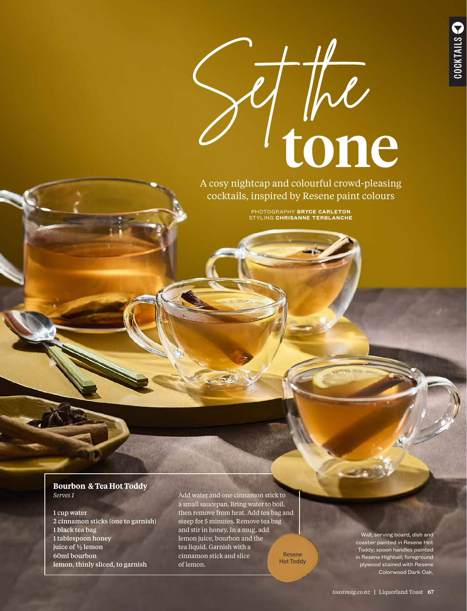

A cosy nightcap and colourful crowd-pleasing cocktails, inspired by Resene paint colours

> PHOTOGRAPHY **BRYCE CARLETON** STYLING **CHRISANNE TERBLANCHE**

#### **Bourbon & Tea Hot Toddy** *Serves 1*

1 cup water 2 cinnamon sticks (one to garnish) 1 black tea bag 1 tablespoon honey juice of  $\frac{1}{2}$  lemon 60ml bourbon lemon, thinly sliced, to garnish

Add water and one cinnamon stick to a small saucepan. Bring water to boil, then remove from heat. Add tea bag and steep for 5 minutes. Remove tea bag and stir in honey. In a mug, add lemon juice, bourbon and the tea liquid. Garnish with a cinnamon stick and slice of lemon.

Resene Hot Toddy

Wall, serving board, dish and coaster painted in Resene Hot Toddy; spoon handles painted in Resene Highball; foreground plywood stained with Resene Colorwood Dark Oak.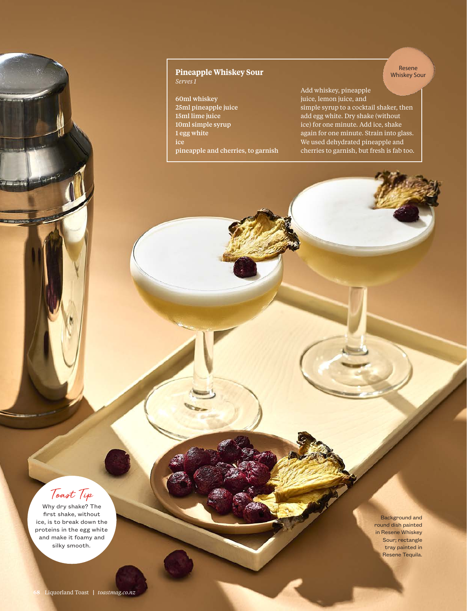### **Pineapple Whiskey Sour** *Serves 1*

60ml whiskey 25ml pineapple juice 15ml lime juice 10ml simple syrup 1 egg white pineapple and cherries, to garnish Add whiskey, pineapple juice, lemon juice, and simple syrup to a cocktail shaker, then add egg white. Dry shake (without ice) for one minute. Add ice, shake again for one minute. Strain into glass. We used dehydrated pineapple and cherries to garnish, but fresh is fab too.

Resene Whiskey Sour



**STATISTICS** 

Why dry shake? The first shake, without ice, is to break down the proteins in the egg white and make it foamy and silky smooth.

Background and round dish painted in Resene Whiskey Sour; rectangle tray painted in Resene Tequila.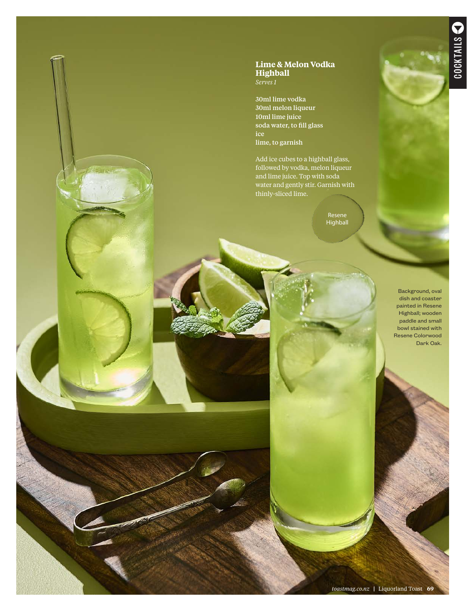## **Lime & Melon Vodka Highball**

*Serves 1*

30ml lime vodka 30ml melon liqueur 10ml lime juice soda water, to fill glass lime, to garnish

Add ice cubes to a highball glass, followed by vodka, melon liqueur and lime juice. Top with soda water and gently stir. Garnish with thinly-sliced lime.

> Resene Highball

> > Background, oval dish and coaster painted in Resene Highball; wooden paddle and small bowl stained with Resene Colorwood Dark Oak.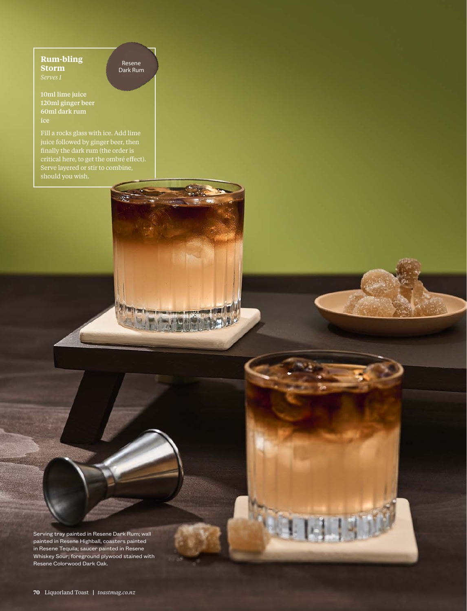# **Rum-bling Storm**

Resene Dark Rum

**PRA MEE** 

10ml lime juice 120ml ginger beer 60ml dark rum ice

Fill a rocks glass with ice. Add lime juice followed by ginger beer, then finally the dark rum (the order is critical here, to get the ombré effect). Serve layered or stir to combine, should you wish.

Serving tray painted in Resene Dark Rum; wall painted in Resene Highball, coasters painted in Resene Tequila; saucer painted in Resene Whiskey Sour; foreground plywood stained with Resene Colorwood Dark Oak.